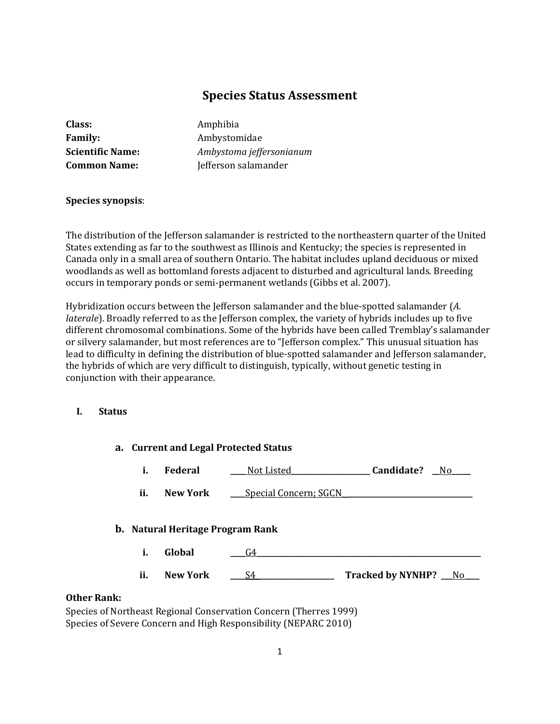# **Species Status Assessment**

| Class:                  |
|-------------------------|
| <b>Family:</b>          |
| <b>Scientific Name:</b> |
| <b>Common Name:</b>     |

**Class:** Amphibia **Family:** Ambystomidae **Scientific Name:** *Ambystoma jeffersonianum* **Common Name:** Jefferson salamander

## **Species synopsis**:

The distribution of the Jefferson salamander is restricted to the northeastern quarter of the United States extending as far to the southwest as Illinois and Kentucky; the species is represented in Canada only in a small area of southern Ontario. The habitat includes upland deciduous or mixed woodlands as well as bottomland forests adjacent to disturbed and agricultural lands. Breeding occurs in temporary ponds or semi-permanent wetlands (Gibbs et al. 2007).

Hybridization occurs between the Jefferson salamander and the blue-spotted salamander (*A. laterale*). Broadly referred to as the Jefferson complex, the variety of hybrids includes up to five different chromosomal combinations. Some of the hybrids have been called Tremblay's salamander or silvery salamander, but most references are to "Jefferson complex." This unusual situation has lead to difficulty in defining the distribution of blue-spotted salamander and Jefferson salamander, the hybrids of which are very difficult to distinguish, typically, without genetic testing in conjunction with their appearance.

#### **I. Status**

|                    | a. Current and Legal Protected Status   |                                                                   |                        |  |
|--------------------|-----------------------------------------|-------------------------------------------------------------------|------------------------|--|
| i.                 | Federal                                 | Not Listed                                                        | Candidate?<br>No.      |  |
| ii.                | <b>New York</b>                         | Special Concern; SGCN                                             |                        |  |
|                    | <b>b.</b> Natural Heritage Program Rank |                                                                   |                        |  |
| i.                 | Global                                  | G4                                                                |                        |  |
| ii.                | <b>New York</b>                         | S4                                                                | Tracked by NYNHP? __No |  |
| <b>Other Rank:</b> |                                         |                                                                   |                        |  |
|                    |                                         | Species of Northeast Regional Conservation Concern (Therres 1999) |                        |  |

Species of Severe Concern and High Responsibility (NEPARC 2010)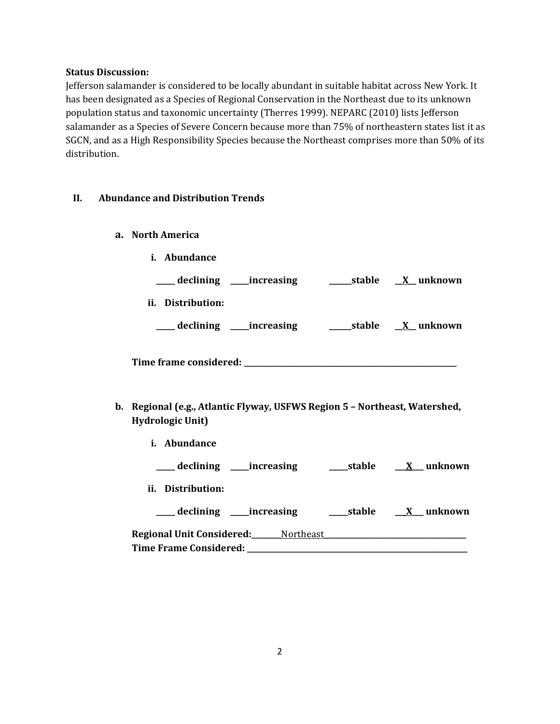#### **Status Discussion:**

Jefferson salamander is considered to be locally abundant in suitable habitat across New York. It has been designated as a Species of Regional Conservation in the Northeast due to its unknown population status and taxonomic uncertainty (Therres 1999). NEPARC (2010) lists Jefferson salamander as a Species of Severe Concern because more than 75% of northeastern states list it as SGCN, and as a High Responsibility Species because the Northeast comprises more than 50% of its distribution.

#### **II. Abundance and Distribution Trends**

- **a. North America**
	- **i. Abundance**

| declining<br>_increasing | stable | <u>X</u> unknown |
|--------------------------|--------|------------------|
| Distribution:<br>Ĩİ.     |        |                  |
| declining<br>_increasing | stable | X unknown        |

**Time frame considered: \_\_\_\_\_\_\_\_\_\_\_\_\_\_\_\_\_\_\_\_\_\_\_\_\_\_\_\_\_\_\_\_\_\_\_\_\_\_\_\_\_\_\_\_\_\_\_\_\_\_\_\_\_\_\_\_\_**

- **b. Regional (e.g., Atlantic Flyway, USFWS Region 5 – Northeast, Watershed, Hydrologic Unit)**
	- **i. Abundance**

|  | declining | increasing | stable | unknown |
|--|-----------|------------|--------|---------|
|--|-----------|------------|--------|---------|

**ii. Distribution:**

| declining                        | increasing             | stable | unknown |
|----------------------------------|------------------------|--------|---------|
| <b>Regional Unit Considered:</b> | Northeast <sub>-</sub> |        |         |

| Regional Unit Considered:_ | Northeast |
|----------------------------|-----------|
| Time Frame Considered:     |           |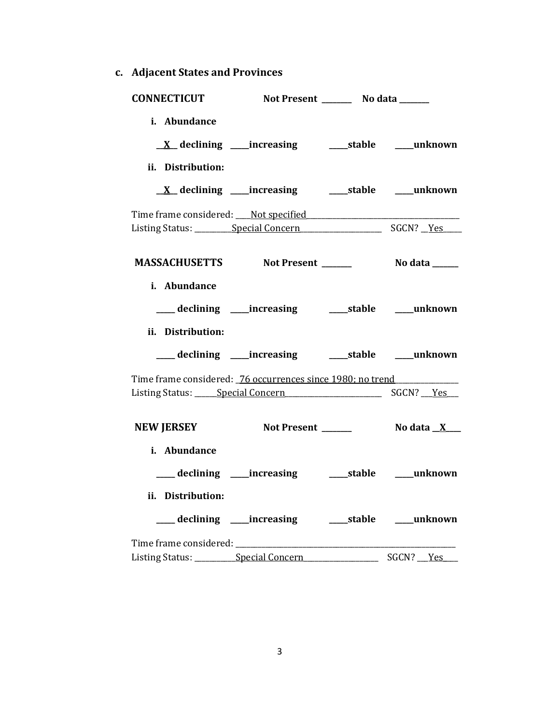**c. Adjacent States and Provinces**

| <b>CONNECTICUT</b>                                                                                                                                                           | Not Present _________ No data _______                      |           |
|------------------------------------------------------------------------------------------------------------------------------------------------------------------------------|------------------------------------------------------------|-----------|
| i. Abundance                                                                                                                                                                 |                                                            |           |
| ii. Distribution:                                                                                                                                                            |                                                            |           |
|                                                                                                                                                                              | <u>X</u> declining ____increasing ______stable ____unknown |           |
|                                                                                                                                                                              |                                                            |           |
|                                                                                                                                                                              |                                                            |           |
| i. Abundance                                                                                                                                                                 |                                                            |           |
|                                                                                                                                                                              |                                                            |           |
| ii. Distribution:                                                                                                                                                            |                                                            |           |
|                                                                                                                                                                              | ___ declining ____increasing ______stable ____unknown      |           |
| Time frame considered: 76 occurrences since 1980; no trend<br>Listing Status: Special Concern Superson Control Control Superson Control Control Control Control Control Cont |                                                            |           |
| <b>NEW JERSEY</b>                                                                                                                                                            |                                                            |           |
| i. Abundance                                                                                                                                                                 |                                                            |           |
|                                                                                                                                                                              | ___ declining ___ increasing ____ stable ___ unknown       |           |
| ii. Distribution:                                                                                                                                                            |                                                            |           |
|                                                                                                                                                                              | ___ declining ____increasing ______stable ____unknown      |           |
|                                                                                                                                                                              |                                                            |           |
| Listing Status: __________ Special Concern                                                                                                                                   |                                                            | SGCN? Yes |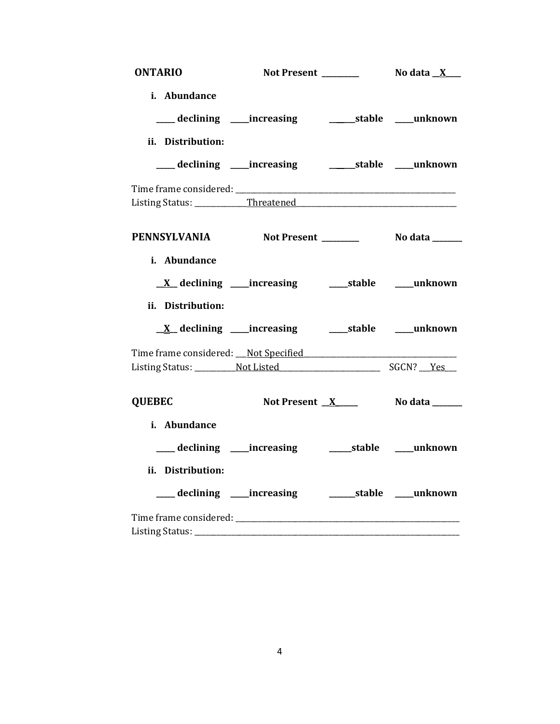| <b>ONTARIO</b>    |                                                                |                             |
|-------------------|----------------------------------------------------------------|-----------------------------|
| i. Abundance      |                                                                |                             |
|                   | ___ declining ___ increasing _____________stable _____unknown  |                             |
| ii. Distribution: |                                                                |                             |
|                   | ___ declining ___ increasing ______________stable _____unknown |                             |
|                   |                                                                |                             |
|                   |                                                                |                             |
|                   | PENNSYLVANIA Not Present ________ No data ______               |                             |
| i. Abundance      |                                                                |                             |
|                   | <u>X</u> declining ____increasing _______stable ____unknown    |                             |
| ii. Distribution: |                                                                |                             |
|                   | <u>X</u> declining ____increasing _______stable _____unknown   |                             |
|                   | Time frame considered: Not Specified                           |                             |
|                   |                                                                |                             |
|                   |                                                                |                             |
| <b>QUEBEC</b>     | Not Present _ <u>X</u> ____                                    | No data ______              |
| i. Abundance      |                                                                |                             |
|                   |                                                                |                             |
| ii. Distribution: |                                                                |                             |
|                   | ____ declining _____ increasing                                | ________stable _____unknown |
|                   |                                                                |                             |
|                   |                                                                |                             |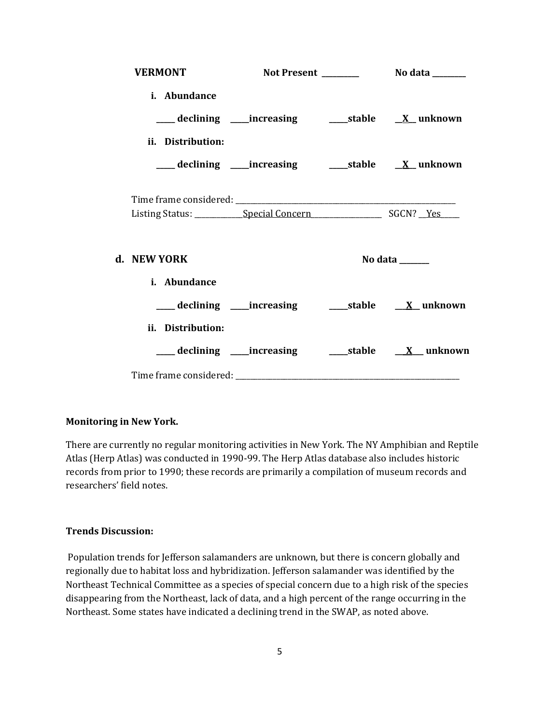| <b>VERMONT</b>    |                                                                  |                                                                             |
|-------------------|------------------------------------------------------------------|-----------------------------------------------------------------------------|
| i. Abundance      |                                                                  |                                                                             |
|                   |                                                                  |                                                                             |
| ii. Distribution: |                                                                  |                                                                             |
|                   | ___ declining ____increasing _______stable __ <u>X_</u> _unknown |                                                                             |
|                   |                                                                  |                                                                             |
|                   |                                                                  |                                                                             |
| d. NEW YORK       |                                                                  | No data $\frac{1}{\sqrt{1-\frac{1}{2}}\cdot\frac{1}{\sqrt{1-\frac{1}{2}}}}$ |
| i. Abundance      |                                                                  |                                                                             |
|                   | ___ declining ____increasing ______stable _____X__ unknown       |                                                                             |
| ii. Distribution: |                                                                  |                                                                             |
|                   |                                                                  | ___ declining ____increasing _______stable ____ <u>X</u> __ unknown         |
|                   |                                                                  |                                                                             |

### **Monitoring in New York.**

There are currently no regular monitoring activities in New York. The NY Amphibian and Reptile Atlas (Herp Atlas) was conducted in 1990-99. The Herp Atlas database also includes historic records from prior to 1990; these records are primarily a compilation of museum records and researchers' field notes.

#### **Trends Discussion:**

Population trends for Jefferson salamanders are unknown, but there is concern globally and regionally due to habitat loss and hybridization. Jefferson salamander was identified by the Northeast Technical Committee as a species of special concern due to a high risk of the species disappearing from the Northeast, lack of data, and a high percent of the range occurring in the Northeast. Some states have indicated a declining trend in the SWAP, as noted above.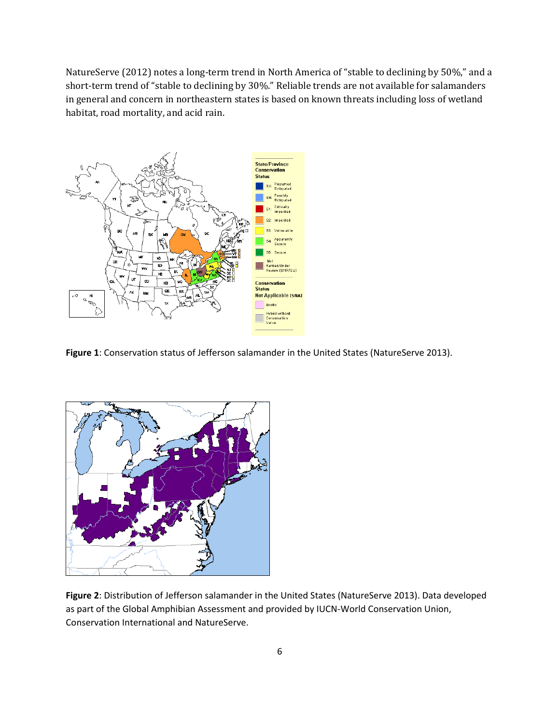NatureServe (2012) notes a long-term trend in North America of "stable to declining by 50%," and a short-term trend of "stable to declining by 30%." Reliable trends are not available for salamanders in general and concern in northeastern states is based on known threats including loss of wetland habitat, road mortality, and acid rain.



Figure 1: Conservation status of Jefferson salamander in the United States (NatureServe 2013).



**Figure 2**: Distribution of Jefferson salamander in the United States (NatureServe 2013). Data developed as part of the Global Amphibian Assessment and provided by IUCN-World Conservation Union, Conservation International and NatureServe.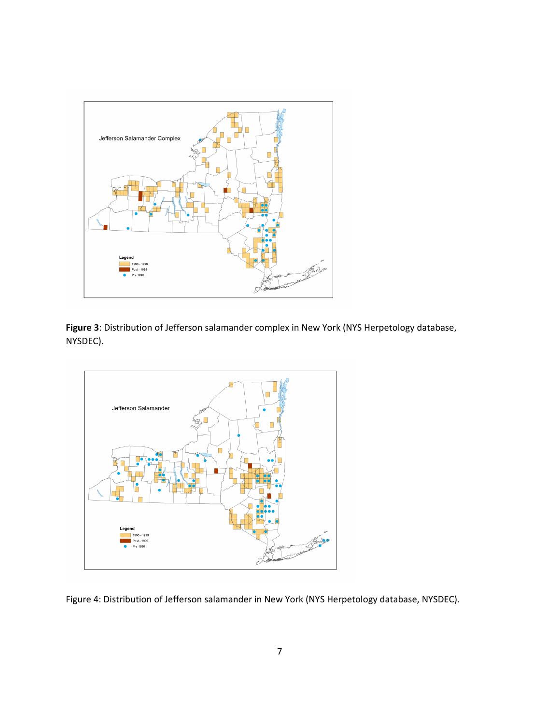

**Figure 3**: Distribution of Jefferson salamander complex in New York (NYS Herpetology database, NYSDEC).



Figure 4: Distribution of Jefferson salamander in New York (NYS Herpetology database, NYSDEC).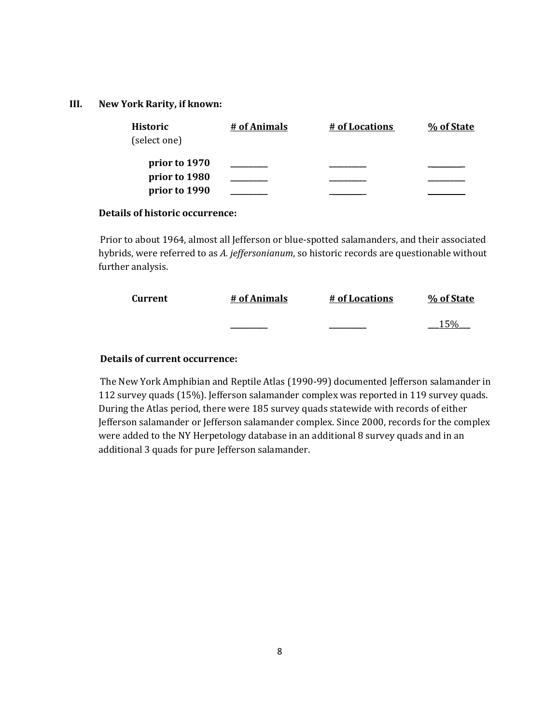#### **III. New York Rarity, if known:**

| <b>Historic</b><br>(select one) | # of Animals | # of Locations | % of State |
|---------------------------------|--------------|----------------|------------|
| prior to 1970                   |              |                |            |
| prior to 1980                   |              |                |            |
| prior to 1990                   |              |                |            |

#### **Details of historic occurrence:**

Prior to about 1964, almost all Jefferson or blue-spotted salamanders, and their associated hybrids, were referred to as *A. jeffersonianum*, so historic records are questionable without further analysis.

| Current | # of Animals | # of Locations | % of State |
|---------|--------------|----------------|------------|
|         |              |                | 15%        |

## **Details of current occurrence:**

The New York Amphibian and Reptile Atlas (1990-99) documented Jefferson salamander in 112 survey quads (15%). Jefferson salamander complex was reported in 119 survey quads. During the Atlas period, there were 185 survey quads statewide with records of either Jefferson salamander or Jefferson salamander complex. Since 2000, records for the complex were added to the NY Herpetology database in an additional 8 survey quads and in an additional 3 quads for pure Jefferson salamander.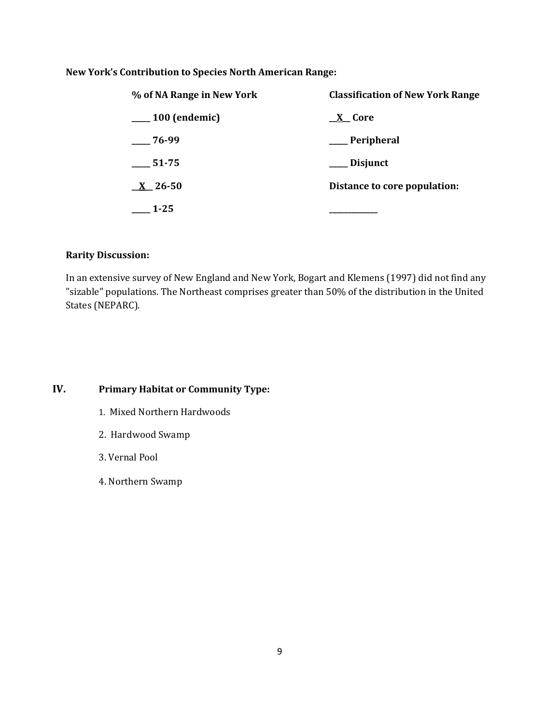## **New York's Contribution to Species North American Range:**

| % of NA Range in New York | <b>Classification of New York Range</b> |
|---------------------------|-----------------------------------------|
| $\frac{100}{2}$ (endemic) | <u>X</u> Core                           |
| $-76-99$                  | __ Peripheral                           |
| 51-75                     | Disjunct                                |
| $X_{26-50}$               | Distance to core population:            |
| $1 - 25$                  |                                         |

## **Rarity Discussion:**

In an extensive survey of New England and New York, Bogart and Klemens (1997) did not find any "sizable" populations. The Northeast comprises greater than 50% of the distribution in the United States (NEPARC).

## **IV. Primary Habitat or Community Type:**

- 1. Mixed Northern Hardwoods
- 2. Hardwood Swamp
- 3. Vernal Pool
- 4. Northern Swamp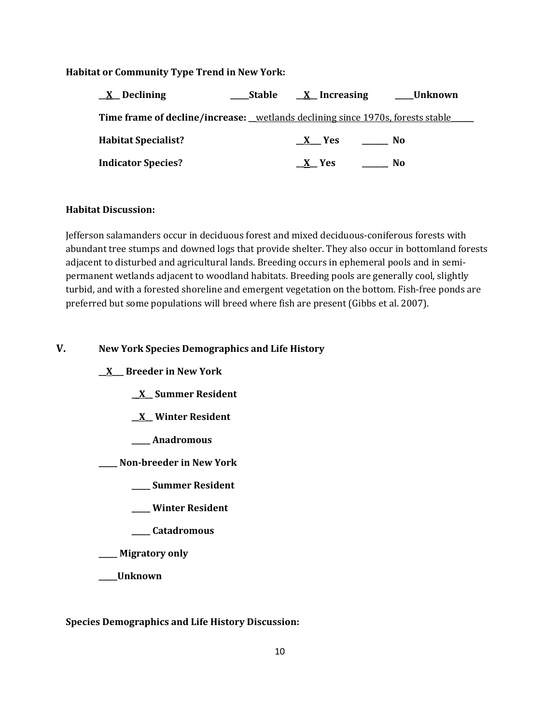#### **Habitat or Community Type Trend in New York:**

| <u>X</u> Declining                                                                            | Stable | $X$ Increasing | Unknown |  |  |
|-----------------------------------------------------------------------------------------------|--------|----------------|---------|--|--|
| <b>Time frame of decline/increase:</b> <u>_wetlands declining since 1970s, forests stable</u> |        |                |         |  |  |
| <b>Habitat Specialist?</b>                                                                    |        | $X$ Yes        | No.     |  |  |
| <b>Indicator Species?</b>                                                                     |        | $X$ Yes        | No      |  |  |

#### **Habitat Discussion:**

Jefferson salamanders occur in deciduous forest and mixed deciduous-coniferous forests with abundant tree stumps and downed logs that provide shelter. They also occur in bottomland forests adjacent to disturbed and agricultural lands. Breeding occurs in ephemeral pools and in semipermanent wetlands adjacent to woodland habitats. Breeding pools are generally cool, slightly turbid, and with a forested shoreline and emergent vegetation on the bottom. Fish-free ponds are preferred but some populations will breed where fish are present (Gibbs et al. 2007).

#### **V. New York Species Demographics and Life History**

**\_\_X\_\_\_ Breeder in New York**

**\_\_X\_\_ Summer Resident**

- **\_\_X\_\_ Winter Resident**
- **\_\_\_\_\_ Anadromous**

**\_\_\_\_\_ Non-breeder in New York**

**\_\_\_\_\_ Summer Resident**

- **\_\_\_\_\_ Winter Resident**
- **\_\_\_\_\_ Catadromous**

**\_\_\_\_\_ Migratory only**

**\_\_\_\_\_Unknown**

**Species Demographics and Life History Discussion:**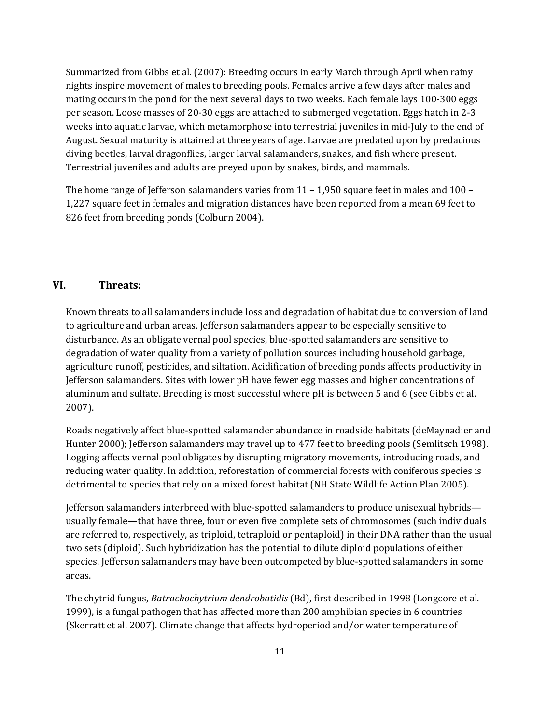Summarized from Gibbs et al. (2007): Breeding occurs in early March through April when rainy nights inspire movement of males to breeding pools. Females arrive a few days after males and mating occurs in the pond for the next several days to two weeks. Each female lays 100-300 eggs per season. Loose masses of 20-30 eggs are attached to submerged vegetation. Eggs hatch in 2-3 weeks into aquatic larvae, which metamorphose into terrestrial juveniles in mid-July to the end of August. Sexual maturity is attained at three years of age. Larvae are predated upon by predacious diving beetles, larval dragonflies, larger larval salamanders, snakes, and fish where present. Terrestrial juveniles and adults are preyed upon by snakes, birds, and mammals.

The home range of Jefferson salamanders varies from  $11 - 1,950$  square feet in males and  $100 -$ 1,227 square feet in females and migration distances have been reported from a mean 69 feet to 826 feet from breeding ponds (Colburn 2004).

## **VI. Threats:**

Known threats to all salamanders include loss and degradation of habitat due to conversion of land to agriculture and urban areas. Jefferson salamanders appear to be especially sensitive to disturbance. As an obligate vernal pool species, blue-spotted salamanders are sensitive to degradation of water quality from a variety of pollution sources including household garbage, agriculture runoff, pesticides, and siltation. Acidification of breeding ponds affects productivity in Jefferson salamanders. Sites with lower pH have fewer egg masses and higher concentrations of aluminum and sulfate. Breeding is most successful where pH is between 5 and 6 (see Gibbs et al. 2007).

Roads negatively affect blue-spotted salamander abundance in roadside habitats (deMaynadier and Hunter 2000); Jefferson salamanders may travel up to 477 feet to breeding pools (Semlitsch 1998). Logging affects vernal pool obligates by disrupting migratory movements, introducing roads, and reducing water quality. In addition, reforestation of commercial forests with coniferous species is detrimental to species that rely on a mixed forest habitat (NH State Wildlife Action Plan 2005).

Jefferson salamanders interbreed with blue-spotted salamanders to produce unisexual hybrids usually female—that have three, four or even five complete sets of chromosomes (such individuals are referred to, respectively, as triploid, tetraploid or pentaploid) in their DNA rather than the usual two sets (diploid). Such hybridization has the potential to dilute diploid populations of either species. Jefferson salamanders may have been outcompeted by blue-spotted salamanders in some areas.

The chytrid fungus, *Batrachochytrium dendrobatidis* (Bd), first described in 1998 (Longcore et al. 1999), is a fungal pathogen that has affected more than 200 amphibian species in 6 countries (Skerratt et al. 2007). Climate change that affects hydroperiod and/or water temperature of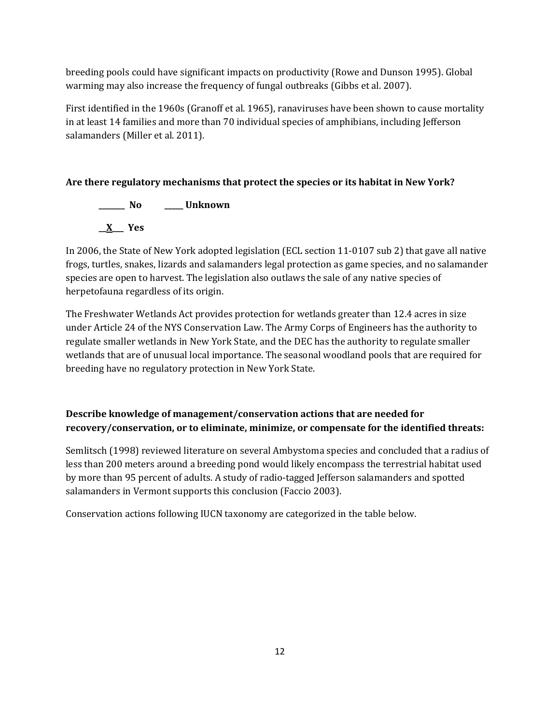breeding pools could have significant impacts on productivity (Rowe and Dunson 1995). Global warming may also increase the frequency of fungal outbreaks (Gibbs et al. 2007).

First identified in the 1960s (Granoff et al. 1965), ranaviruses have been shown to cause mortality in at least 14 families and more than 70 individual species of amphibians, including Jefferson salamanders (Miller et al. 2011).

## **Are there regulatory mechanisms that protect the species or its habitat in New York?**

**\_\_\_\_\_\_\_ No \_\_\_\_\_ Unknown \_\_X\_\_\_ Yes**

In 2006, the State of New York adopted legislation (ECL section 11-0107 sub 2) that gave all native frogs, turtles, snakes, lizards and salamanders legal protection as game species, and no salamander species are open to harvest. The legislation also outlaws the sale of any native species of herpetofauna regardless of its origin.

The Freshwater Wetlands Act provides protection for wetlands greater than 12.4 acres in size under Article 24 of the NYS Conservation Law. The Army Corps of Engineers has the authority to regulate smaller wetlands in New York State, and the DEC has the authority to regulate smaller wetlands that are of unusual local importance. The seasonal woodland pools that are required for breeding have no regulatory protection in New York State.

## **Describe knowledge of management/conservation actions that are needed for recovery/conservation, or to eliminate, minimize, or compensate for the identified threats:**

Semlitsch (1998) reviewed literature on several Ambystoma species and concluded that a radius of less than 200 meters around a breeding pond would likely encompass the terrestrial habitat used by more than 95 percent of adults. A study of radio-tagged Jefferson salamanders and spotted salamanders in Vermont supports this conclusion (Faccio 2003).

Conservation actions following IUCN taxonomy are categorized in the table below.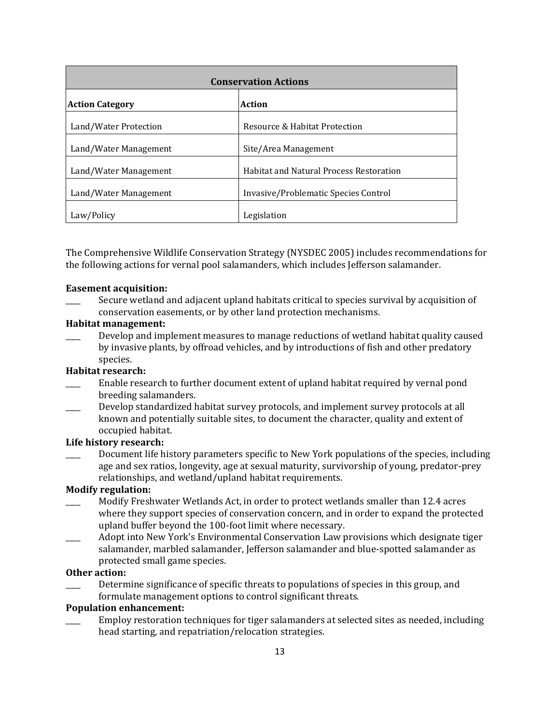| <b>Conservation Actions</b> |                                                |  |  |
|-----------------------------|------------------------------------------------|--|--|
| <b>Action Category</b>      | Action                                         |  |  |
| Land/Water Protection       | Resource & Habitat Protection                  |  |  |
| Land/Water Management       | Site/Area Management                           |  |  |
| Land/Water Management       | <b>Habitat and Natural Process Restoration</b> |  |  |
| Land/Water Management       | Invasive/Problematic Species Control           |  |  |
| Law/Policy                  | Legislation                                    |  |  |

The Comprehensive Wildlife Conservation Strategy (NYSDEC 2005) includes recommendations for the following actions for vernal pool salamanders, which includes Jefferson salamander.

#### **Easement acquisition:**

Secure wetland and adjacent upland habitats critical to species survival by acquisition of conservation easements, or by other land protection mechanisms.

#### **Habitat management:**

Develop and implement measures to manage reductions of wetland habitat quality caused by invasive plants, by offroad vehicles, and by introductions of fish and other predatory species.

#### **Habitat research:**

- Enable research to further document extent of upland habitat required by vernal pond breeding salamanders.
- Develop standardized habitat survey protocols, and implement survey protocols at all known and potentially suitable sites, to document the character, quality and extent of occupied habitat.

#### **Life history research:**

Document life history parameters specific to New York populations of the species, including age and sex ratios, longevity, age at sexual maturity, survivorship of young, predator-prey relationships, and wetland/upland habitat requirements.

### **Modify regulation:**

- \_\_\_\_ Modify Freshwater Wetlands Act, in order to protect wetlands smaller than 12.4 acres where they support species of conservation concern, and in order to expand the protected upland buffer beyond the 100-foot limit where necessary.
- \_\_\_\_ Adopt into New York's Environmental Conservation Law provisions which designate tiger salamander, marbled salamander, Jefferson salamander and blue-spotted salamander as protected small game species.

#### **Other action:**

Determine significance of specific threats to populations of species in this group, and formulate management options to control significant threats.

#### **Population enhancement:**

\_\_\_\_ Employ restoration techniques for tiger salamanders at selected sites as needed, including head starting, and repatriation/relocation strategies.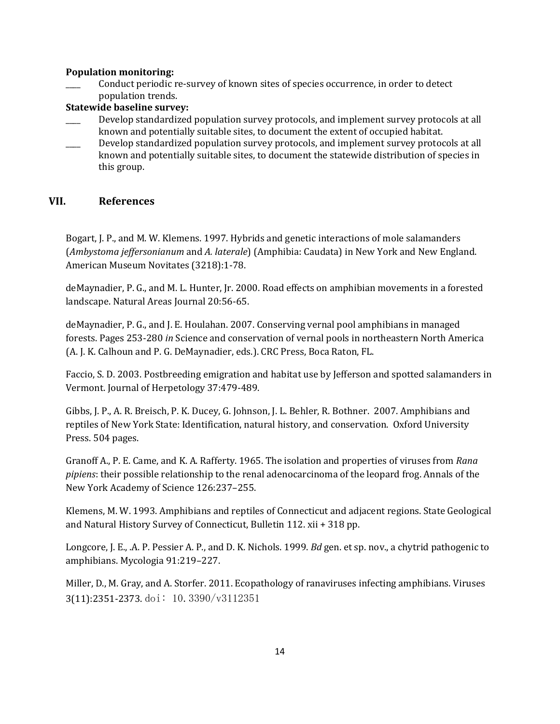#### **Population monitoring:**

\_\_\_\_ Conduct periodic re-survey of known sites of species occurrence, in order to detect population trends.

### **Statewide baseline survey:**

- Develop standardized population survey protocols, and implement survey protocols at all known and potentially suitable sites, to document the extent of occupied habitat.
- Develop standardized population survey protocols, and implement survey protocols at all known and potentially suitable sites, to document the statewide distribution of species in this group.

## **VII. References**

Bogart, J. P., and M. W. Klemens. 1997. Hybrids and genetic interactions of mole salamanders (*Ambystoma jeffersonianum* and *A. laterale*) (Amphibia: Caudata) in New York and New England. American Museum Novitates (3218):1-78.

deMaynadier, P. G., and M. L. Hunter, Jr. 2000. Road effects on amphibian movements in a forested landscape. Natural Areas Journal 20:56-65.

deMaynadier, P. G., and J. E. Houlahan. 2007. Conserving vernal pool amphibians in managed forests. Pages 253-280 *in* Science and conservation of vernal pools in northeastern North America (A. J. K. Calhoun and P. G. DeMaynadier, eds.). CRC Press, Boca Raton, FL.

Faccio, S. D. 2003. Postbreeding emigration and habitat use by Jefferson and spotted salamanders in Vermont. Journal of Herpetology 37:479-489.

Gibbs, J. P., A. R. Breisch, P. K. Ducey, G. Johnson, J. L. Behler, R. Bothner. 2007. Amphibians and reptiles of New York State: Identification, natural history, and conservation. Oxford University Press. 504 pages.

Granoff A., P. E. Came, and K. A. Rafferty. 1965. The isolation and properties of viruses from *Rana pipiens*: their possible relationship to the renal adenocarcinoma of the leopard frog. Annals of the New York Academy of Science 126:237–255.

Klemens, M. W. 1993. Amphibians and reptiles of Connecticut and adjacent regions. State Geological and Natural History Survey of Connecticut, Bulletin 112. xii + 318 pp.

Longcore, J. E., .A. P. Pessier A. P., and D. K. Nichols. 1999. *Bd* gen. et sp. nov., a chytrid pathogenic to amphibians. Mycologia 91:219–227.

Miller, D., M. Gray, and A. Storfer. 2011. Ecopathology of ranaviruses infecting amphibians. Viruses 3(11):2351-2373. doi: 10.3390/v3112351